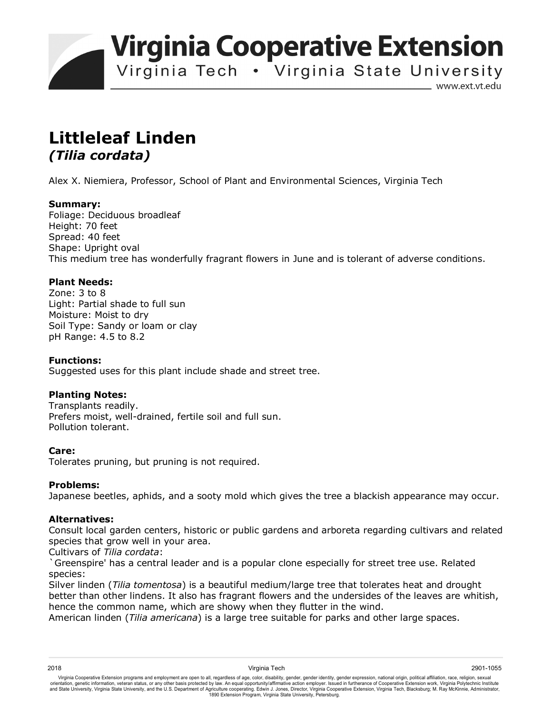**Virginia Cooperative Extension** 

Virginia Tech . Virginia State University

www.ext.vt.edu

# **Littleleaf Linden**  *(Tilia cordata)*

Alex X. Niemiera, Professor, School of Plant and Environmental Sciences, Virginia Tech

# **Summary:**

Foliage: Deciduous broadleaf Height: 70 feet Spread: 40 feet Shape: Upright oval This medium tree has wonderfully fragrant flowers in June and is tolerant of adverse conditions.

# **Plant Needs:**

Zone: 3 to 8 Light: Partial shade to full sun Moisture: Moist to dry Soil Type: Sandy or loam or clay pH Range: 4.5 to 8.2

### **Functions:**

Suggested uses for this plant include shade and street tree.

### **Planting Notes:**

Transplants readily. Prefers moist, well-drained, fertile soil and full sun. Pollution tolerant.

### **Care:**

Tolerates pruning, but pruning is not required.

### **Problems:**

Japanese beetles, aphids, and a sooty mold which gives the tree a blackish appearance may occur.

### **Alternatives:**

Consult local garden centers, historic or public gardens and arboreta regarding cultivars and related species that grow well in your area.

Cultivars of *Tilia cordata*:

`Greenspire' has a central leader and is a popular clone especially for street tree use. Related species:

Silver linden (*Tilia tomentosa*) is a beautiful medium/large tree that tolerates heat and drought better than other lindens. It also has fragrant flowers and the undersides of the leaves are whitish, hence the common name, which are showy when they flutter in the wind.

American linden (*Tilia americana*) is a large tree suitable for parks and other large spaces.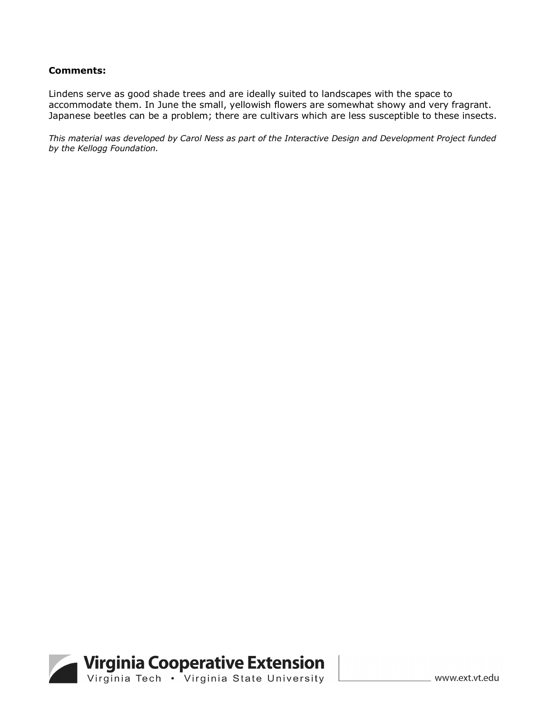#### **Comments:**

Lindens serve as good shade trees and are ideally suited to landscapes with the space to accommodate them. In June the small, yellowish flowers are somewhat showy and very fragrant. Japanese beetles can be a problem; there are cultivars which are less susceptible to these insects.

*This material was developed by Carol Ness as part of the Interactive Design and Development Project funded by the Kellogg Foundation.*